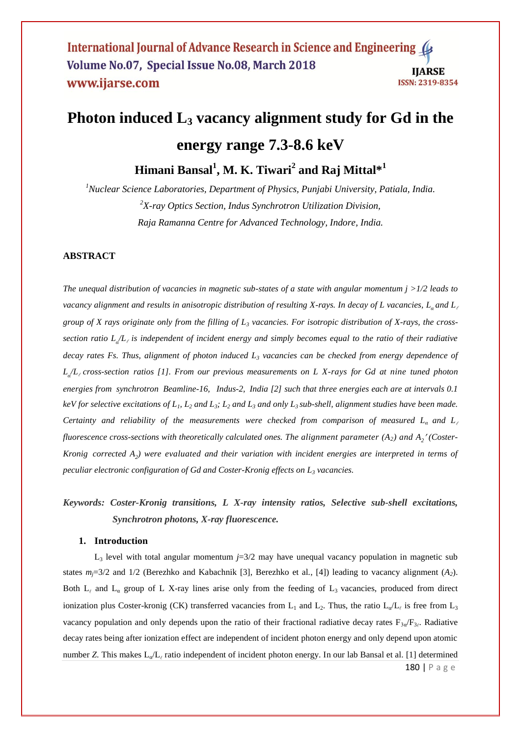# **Photon induced L<sup>3</sup> vacancy alignment study for Gd in the**

# **energy range 7.3-8.6 keV**

**Himani Bansal<sup>1</sup> , M. K. Tiwari<sup>2</sup> and Raj Mittal\*<sup>1</sup>**

*<sup>1</sup>Nuclear Science Laboratories, Department of Physics, Punjabi University, Patiala, India. <sup>2</sup>X-ray Optics Section, Indus Synchrotron Utilization Division, Raja Ramanna Centre for Advanced Technology, Indore, India.*

## **ABSTRACT**

*The unequal distribution of vacancies in magnetic sub-states of a state with angular momentum j >1/2 leads to vacancy alignment and results in anisotropic distribution of resulting X-rays. In decay of L vacancies, L<sup>α</sup> and L group of X rays originate only from the filling of L<sup>3</sup> vacancies. For isotropic distribution of X-rays, the crosssection ratio*  $L_a/L_c$  *is independent of incident energy and simply becomes equal to the ratio of their radiative decay rates Fs. Thus, alignment of photon induced L<sup>3</sup> vacancies can be checked from energy dependence of Lα /L cross-section ratios [1]. From our previous measurements on L X-rays for Gd at nine tuned photon energies from synchrotron Beamline-16, Indus-2, India [2] such that three energies each are at intervals 0.1 keV for selective excitations of L1, L<sup>2</sup> and L3; L<sup>2</sup> and L<sup>3</sup> and only L3 sub-shell, alignment studies have been made. Certainty and reliability of the measurements were checked from comparison of measured L<sup>α</sup> and L fluorescence cross-sections with theoretically calculated ones. The alignment parameter (A2) and A<sup>2</sup> (Coster-Kronig corrected A<sup>2</sup> ) were evaluated and their variation with incident energies are interpreted in terms of peculiar electronic configuration of Gd and Coster-Kronig effects on L<sup>3</sup> vacancies.* 

# *Keywords: Coster-Kronig transitions, L X-ray intensity ratios, Selective sub-shell excitations, Synchrotron photons, X-ray fluorescence.*

### **1. Introduction**

L<sup>3</sup> level with total angular momentum *j*=3/2 may have unequal vacancy population in magnetic sub states  $m_i=3/2$  and  $1/2$  (Berezhko and Kabachnik [3], Berezhko et al., [4]) leading to vacancy alignment (*A*<sub>2</sub>). Both  $L_{\ell}$  and  $L_{\alpha}$  group of L X-ray lines arise only from the feeding of  $L_3$  vacancies, produced from direct ionization plus Coster-kronig (CK) transferred vacancies from  $L_1$  and  $L_2$ . Thus, the ratio  $L_0/L_\ell$  is free from  $L_3$ vacancy population and only depends upon the ratio of their fractional radiative decay rates  $F_{3\alpha}/F_{3\beta}$ . Radiative decay rates being after ionization effect are independent of incident photon energy and only depend upon atomic number *Z*. This makes L<sub>α</sub>/L<sub>ι</sub> ratio independent of incident photon energy. In our lab Bansal et al. [1] determined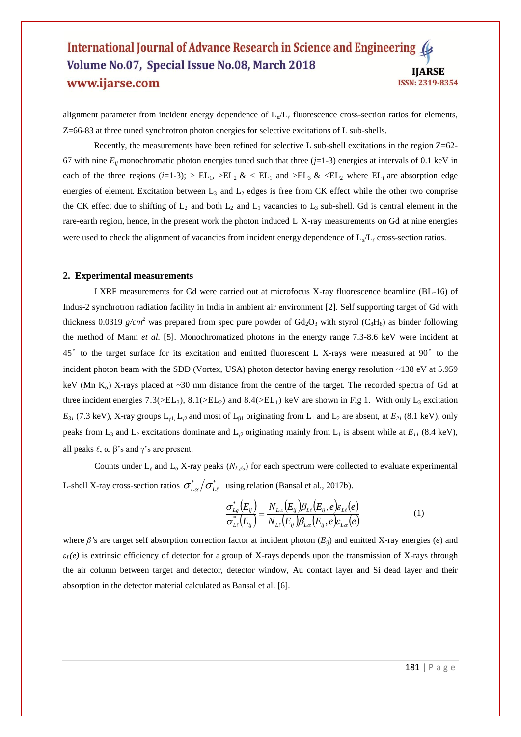alignment parameter from incident energy dependence of  $L_q/L_\ell$  fluorescence cross-section ratios for elements, Z=66-83 at three tuned synchrotron photon energies for selective excitations of L sub-shells.

Recently, the measurements have been refined for selective L sub-shell excitations in the region  $Z=62$ -67 with nine  $E_{ii}$  monochromatic photon energies tuned such that three ( $j=1-3$ ) energies at intervals of 0.1 keV in each of the three regions ( $i=1-3$ );  $>E_{L1}$ ,  $E_{L2}$  &  $E_{L1}$  and  $E_{L3}$  &  $E_{L2}$  where  $E_{L1}$  are absorption edge energies of element. Excitation between  $L_3$  and  $L_2$  edges is free from CK effect while the other two comprise the CK effect due to shifting of  $L_2$  and both  $L_2$  and  $L_1$  vacancies to  $L_3$  sub-shell. Gd is central element in the rare-earth region, hence, in the present work the photon induced L X-ray measurements on Gd at nine energies were used to check the alignment of vacancies from incident energy dependence of  $L<sub>a</sub>/L<sub>e</sub>$  cross-section ratios.

#### **2. Experimental measurements**

LXRF measurements for Gd were carried out at microfocus X-ray fluorescence beamline (BL-16) of Indus-2 synchrotron radiation facility in India in ambient air environment [2]. Self supporting target of Gd with thickness 0.0319  $g/cm^2$  was prepared from spec pure powder of  $Gd_2O_3$  with styrol ( $C_8H_8$ ) as binder following the method of Mann *et al.* [5]. Monochromatized photons in the energy range 7.3-8.6 keV were incident at 45°to the target surface for its excitation and emitted fluorescent L X-rays were measured at 90°to the incident photon beam with the SDD (Vortex, USA) photon detector having energy resolution ~138 eV at 5.959 keV (Mn  $K_{\alpha}$ ) X-rays placed at ~30 mm distance from the centre of the target. The recorded spectra of Gd at three incident energies  $7.3(>\epsilon L_3)$ ,  $8.1(>\epsilon L_2)$  and  $8.4(>\epsilon L_1)$  keV are shown in Fig 1. With only  $L_3$  excitation  $E_{31}$  (7.3 keV), X-ray groups  $L_{1}$ ,  $L_{2}$  and most of  $L_{61}$  originating from  $L_{1}$  and  $L_{2}$  are absent, at  $E_{21}$  (8.1 keV), only peaks from L<sub>3</sub> and L<sub>2</sub> excitations dominate and L<sub>2</sub> originating mainly from L<sub>1</sub> is absent while at  $E_{11}$  (8.4 keV), all peaks  $\ell$ ,  $\alpha$ ,  $\beta$ 's and  $\gamma$ 's are present.

Counts under  $L_\ell$  and  $L_\alpha$  X-ray peaks ( $N_{L/\alpha}$ ) for each spectrum were collected to evaluate experimental L-shell X-ray cross-section ratios  $\sigma_{L\alpha}^*/\sigma_{L\ell}^*$  using relation (Bansal et al., 2017b).

$$
\frac{\sigma_{Lg}^*(E_{ij})}{\sigma_{L\ell}^*(E_{ij})} = \frac{N_{L\alpha}(E_{ij})\beta_{L\ell}(E_{ij},e)\varepsilon_{L\ell}(e)}{N_{L\ell}(E_{ij})\beta_{L\alpha}(E_{ij},e)\varepsilon_{L\alpha}(e)}\tag{1}
$$

where *β'*s are target self absorption correction factor at incident photon (*Eij*) and emitted X-ray energies (*e*) and *εL(e)* is extrinsic efficiency of detector for a group of X-rays depends upon the transmission of X-rays through the air column between target and detector, detector window, Au contact layer and Si dead layer and their absorption in the detector material calculated as Bansal et al. [6].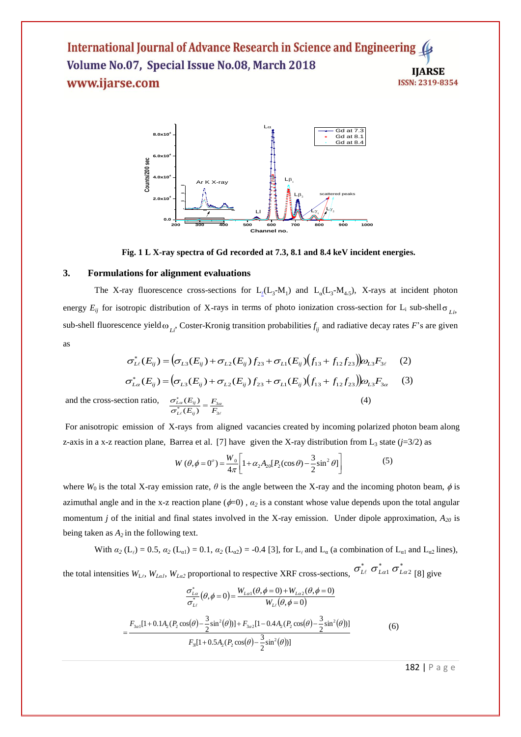

**Fig. 1 L X-ray spectra of Gd recorded at 7.3, 8.1 and 8.4 keV incident energies.**

#### **3. Formulations for alignment evaluations**

The X-ray fluorescence cross-sections for  $L_1(L_3-M_1)$  and  $L_2(L_3-M_{4,5})$ , X-rays at incident photon energy  $E_{ij}$  for isotropic distribution of X-rays in terms of photo ionization cross-section for  $L_i$  sub-shell  $\sigma_{Li}$ , sub-shell fluorescence yield  $\omega_{Li}$ . Coster-Kronig transition probabilities  $f_{ij}$  and radiative decay rates *F*'s are given as

$$
\sigma_{LL}^*(E_{ij}) = (\sigma_{L3}(E_{ij}) + \sigma_{L2}(E_{ij})f_{23} + \sigma_{L1}(E_{ij})(f_{13} + f_{12}f_{23}))\omega_{L3}F_{3\ell} \quad (2)
$$
  

$$
\sigma_{L\alpha}^*(E_{ij}) = (\sigma_{L3}(E_{ij}) + \sigma_{L2}(E_{ij})f_{23} + \sigma_{L1}(E_{ij})(f_{13} + f_{12}f_{23}))\omega_{L3}F_{3\alpha} \quad (3)
$$
  
tion ratio, 
$$
\sigma_{L\alpha}^*(E_{ij}) = F_{3\alpha} \quad (4)
$$

and the cross-sec  $\ell(\mathcal{L}_{ij})$   $\Gamma_{3\ell}$  $\frac{\sigma_{L\alpha}(E_{ij})}{\sigma_{L\ell}^*(E_{ij})} = \frac{F_3}{F_3}$ 

For anisotropic emission of X-rays from aligned vacancies created by incoming polarized photon beam along z-axis in a x-z reaction plane, Barrea et al. [7] have given the X-ray distribution from  $L_3$  state ( $j=3/2$ ) as

$$
W(\theta, \phi = 0^{\circ}) = \frac{W_0}{4\pi} \left[ 1 + \alpha_2 A_{20} [P_2(\cos \theta) - \frac{3}{2} \sin^2 \theta] \right]
$$
(5)

where  $W_0$  is the total X-ray emission rate,  $\theta$  is the angle between the X-ray and the incoming photon beam,  $\phi$  is azimuthal angle and in the x-z reaction plane  $(\phi=0)$ ,  $\alpha_2$  is a constant whose value depends upon the total angular momentum *j* of the initial and final states involved in the X-ray emission. Under dipole approximation, *A<sup>20</sup>* is being taken as  $A_2$  in the following text.

With  $\alpha_2$  (L<sub>t</sub>) = 0.5,  $\alpha_2$  (L<sub>α1</sub>) = 0.1,  $\alpha_2$  (L<sub>α2</sub>) = -0.4 [3], for L<sub>t</sub> and L<sub>α</sub> (a combination of L<sub>α1</sub> and L<sub>α2</sub> lines),

the total intensities  $W_{L_i}$ ,  $W_{L_i}$ ,  $W_{L_i}$  proportional to respective XRF cross-sections,  $U_{L_i}$   $U_{L_i}$   $U_{L_i}$  [8] give  $\sigma_{_{L\ell}}^*$   $\sigma_{_{L\alpha 1}}^*$   $\sigma_{_{L\alpha 2}}^*$ 

$$
\frac{\sigma_{La}^{*}}{\sigma_{La}^{*}}(\theta,\phi=0) = \frac{W_{La1}(\theta,\phi=0) + W_{La2}(\theta,\phi=0)}{W_{La}(\theta,\phi=0)}
$$
\n
$$
= \frac{F_{3a1}[1+0.1A_{2}(P_{2}\cos(\theta)-\frac{3}{2}\sin^{2}(\theta))] + F_{3a2}[1-0.4A_{2}(P_{2}\cos(\theta)-\frac{3}{2}\sin^{2}(\theta))]}{F_{3}[1+0.5A_{2}(P_{2}\cos(\theta)-\frac{3}{2}\sin^{2}(\theta))]}
$$
\n(6)

182 | P a g e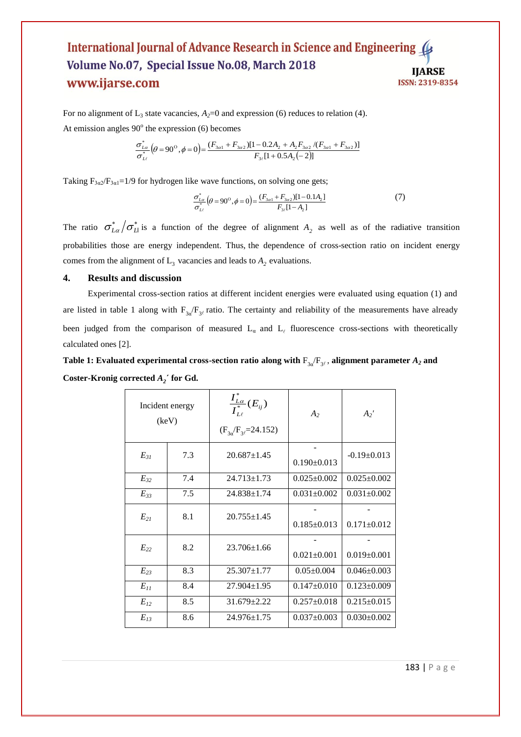For no alignment of  $L_3$  state vacancies,  $A_2=0$  and expression (6) reduces to relation (4). At emission angles  $90^\circ$  the expression (6) becomes

$$
\frac{\sigma_{L\alpha}^{*}}{\sigma_{L\ell}^{*}}\left(\theta=90^{\circ},\phi=0\right)=\frac{(F_{3\alpha1}+F_{3\alpha2})[1-0.2A_{2}+A_{2}F_{3\alpha2}/(F_{3\alpha1}+F_{3\alpha2})]}{F_{3\ell}[1+0.5A_{2}(-2)]}
$$

Taking  $F_{3\alpha/}F_{3\alpha1}=1/9$  for hydrogen like wave functions, on solving one gets;

$$
\frac{\sigma_{La}^{*}}{\sigma_{La}^{*}}\left(\theta=90^{\circ}, \phi=0\right) = \frac{(F_{3a1} + F_{3a2})[1-0.1A_{2}]}{F_{3\ell}[1-A_{2}]}
$$
\n(7)

The ratio  $\sigma_{La}^* / \sigma_{L}^*$  is a function of the degree of alignment  $A_2$  as well as of the radiative transition probabilities those are energy independent. Thus, the dependence of cross-section ratio on incident energy comes from the alignment of  $L_3$  vacancies and leads to  $A_2$  evaluations.

#### **4. Results and discussion**

Experimental cross-section ratios at different incident energies were evaluated using equation (1) and are listed in table 1 along with  $F_{3a}/F_{3f}$  ratio. The certainty and reliability of the measurements have already been judged from the comparison of measured  $L_{\alpha}$  and  $L_{\ell}$  fluorescence cross-sections with theoretically calculated ones [2].

**Table 1:** Evaluated experimental cross-section ratio along with  $F_{3a}F_{3b}$ , alignment parameter  $A_2$  and **Coster-Kronig corrected** *A<sup>2</sup>* **´ for Gd.**

| Incident energy<br>(keV) |     | $\frac{\int_{L\alpha}^{x}}{\int_{L\ell}^{*}}(E_{ij})$<br>$(F_{3q}/F_{3l}=24.152)$ | A <sub>2</sub>    | $A_2'$            |
|--------------------------|-----|-----------------------------------------------------------------------------------|-------------------|-------------------|
| $E_{3I}$                 | 7.3 | $20.687 \pm 1.45$                                                                 | $0.190 \pm 0.013$ | $-0.19 \pm 0.013$ |
| $E_{32}$                 | 7.4 | $24.713 \pm 1.73$                                                                 | $0.025 \pm 0.002$ | $0.025 \pm 0.002$ |
| $E_{33}$                 | 7.5 | $24.838 \pm 1.74$                                                                 | $0.031 \pm 0.002$ | $0.031 \pm 0.002$ |
| $E_{21}$                 | 8.1 | $20.755 \pm 1.45$                                                                 | $0.185 \pm 0.013$ | $0.171 \pm 0.012$ |
| $E_{22}$                 | 8.2 | $23.706 \pm 1.66$                                                                 | $0.021 \pm 0.001$ | $0.019 \pm 0.001$ |
| $E_{23}$                 | 8.3 | $25.307 \pm 1.77$                                                                 | $0.05 \pm 0.004$  | $0.046 \pm 0.003$ |
| $E_{II}$                 | 8.4 | $27.904 \pm 1.95$                                                                 | $0.147 \pm 0.010$ | $0.123 \pm 0.009$ |
| $E_{12}$                 | 8.5 | $31.679 \pm 2.22$                                                                 | $0.257 \pm 0.018$ | $0.215 \pm 0.015$ |
| $E_{13}$                 | 8.6 | $24.976 \pm 1.75$                                                                 | $0.037 \pm 0.003$ | $0.030 \pm 0.002$ |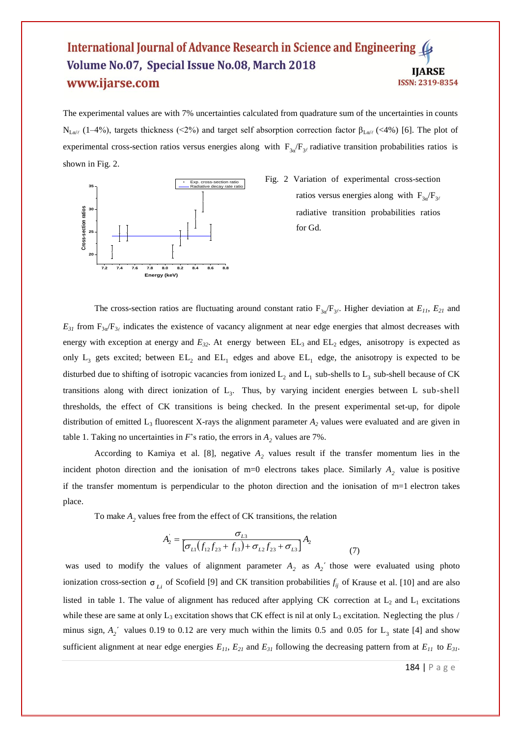The experimental values are with 7% uncertainties calculated from quadrature sum of the uncertainties in counts N<sub>Lα/ε</sub> (1–4%), targets thickness (<2%) and target self absorption correction factor β<sub>Lα/ε</sub> (<4%) [6]. The plot of experimental cross-section ratios versus energies along with  $F_{3a}/F_{3f}$  radiative transition probabilities ratios is shown in Fig. 2.



Fig. 2 Variation of experimental cross-section ratios versus energies along with  $F_{3a}/F_{3b}$ radiative transition probabilities ratios for Gd.

The cross-section ratios are fluctuating around constant ratio  $F_{3\alpha}/F_{3\beta}$ . Higher deviation at  $E_{11}$ ,  $E_{21}$  and  $E_{31}$  from  $F_{3\alpha}/F_{3\ell}$  indicates the existence of vacancy alignment at near edge energies that almost decreases with energy with exception at energy and  $E_{32}$ . At energy between  $EL_3$  and  $EL_2$  edges, anisotropy is expected as only  $L_3$  gets excited; between  $EL_2$  and  $EL_1$  edges and above  $EL_1$  edge, the anisotropy is expected to be disturbed due to shifting of isotropic vacancies from ionized  $L_2$  and  $L_1$  sub-shells to  $L_3$  sub-shell because of CK transitions along with direct ionization of  $L_3$ . Thus, by varying incident energies between L sub-shell thresholds, the effect of CK transitions is being checked. In the present experimental set-up, for dipole distribution of emitted  $L_3$  fluorescent X-rays the alignment parameter  $A_2$  values were evaluated and are given in table 1. Taking no uncertainties in  $F$ 's ratio, the errors in  $A_2$  values are 7%.

According to Kamiya et al. [8], negative  $A_2$  values result if the transfer momentum lies in the incident photon direction and the ionisation of m=0 electrons takes place. Similarly  $A_2$  value is positive if the transfer momentum is perpendicular to the photon direction and the ionisation of m=1 electron takes place.

To make  $A_2$  values free from the effect of CK transitions, the relation

$$
A_2 = \frac{\sigma_{L3}}{\left[\sigma_{L1}(f_{12}f_{23} + f_{13}) + \sigma_{L2}f_{23} + \sigma_{L3}\right]} A_2
$$
\n(7)

was used to modify the values of alignment parameter  $A_2$  as  $A_2$ <sup> $\prime$ </sup> those were evaluated using photo ionization cross-section  $\sigma_{Li}$  of Scofield [9] and CK transition probabilities  $f_{ij}$  of Krause et al. [10] and are also listed in table 1. The value of alignment has reduced after applying CK correction at  $L_2$  and  $L_1$  excitations while these are same at only  $L_3$  excitation shows that CK effect is nil at only  $L_3$  excitation. Neglecting the plus / minus sign,  $A_2$ <sup>'</sup> values 0.19 to 0.12 are very much within the limits 0.5 and 0.05 for L<sub>3</sub> state [4] and show sufficient alignment at near edge energies  $E_{11}$ ,  $E_{21}$  and  $E_{31}$  following the decreasing pattern from at  $E_{11}$  to  $E_{31}$ .